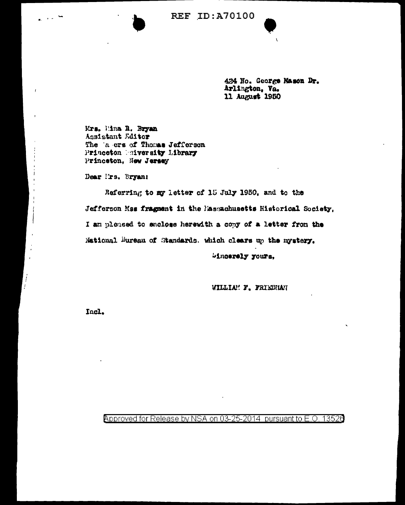**REF ID: A70100** 



424 No. George Mason Dr. Arlington, Va. 11 August 1950

Mrs. Mina R. Bryan Assistant Editor The a crs of Thomas Jefferson Princeton Buiversity Library Princeton, New Jersey

Dear I'rs, Bryant

 $\frac{1}{2}$  and  $\frac{1}{2}$ 

Í  $\frac{1}{2}$ 

Referring to my letter of 15 July 1950, and to the Jefferson Mss fragment in the Massachusetts Historical Society. I am pleased to enclose herewith a copy of a letter from the National Bureau of Standards. which clears up the mystery.

bincerely yours,

WILLIAN F. FRIEDHAN

Incl.

Approved for Release by NSA on 03-25-2014 pursuant to E.O. 13526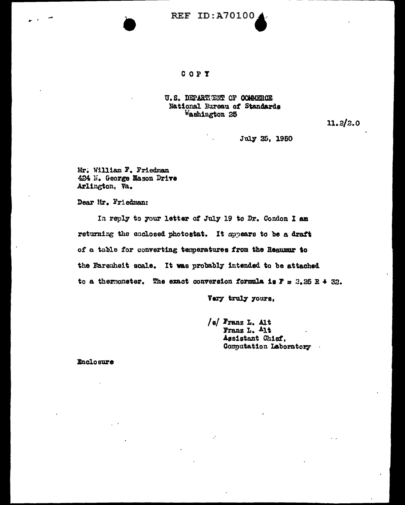

## COPY

## U.S. DEPARTENT OF COMMERCE National Bureau of Standards Washington 25

11.2/2.0

July 25, 1950

Mr. William F. Friedman 424 N. George Mason Drive Arlington, Va.

Dear Mr. Friedman:

In reply to your letter of July 19 to Dr. Condon I am returning the enclosed photostat. It appears to be a draft of a table for converting temperatures from the Requmur to the Farenheit scale. It was probably intended to be attached to a thermometer. The exact conversion formula is  $F = 2.25 R + 32.$ 

Very truly yours,

 $/s/$  Franz L. Alt Franz L. Alt Assistant Chief, Computation Laboratory

Enclosure